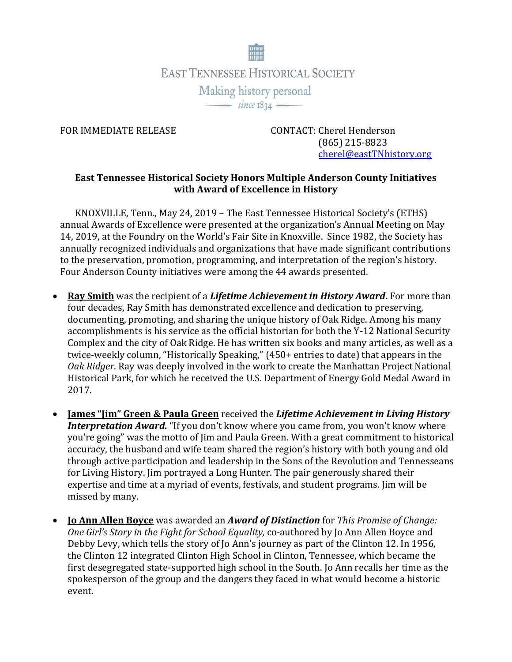

FOR IMMEDIATE RELEASE CONTACT: Cherel Henderson (865) 215-8823 [cherel@eastTNhistory.org](mailto:cherel@eastTNhistory.org)

## **East Tennessee Historical Society Honors Multiple Anderson County Initiatives with Award of Excellence in History**

KNOXVILLE, Tenn., May 24, 2019 – The East Tennessee Historical Society's (ETHS) annual Awards of Excellence were presented at the organization's Annual Meeting on May 14, 2019, at the Foundry on the World's Fair Site in Knoxville. Since 1982, the Society has annually recognized individuals and organizations that have made significant contributions to the preservation, promotion, programming, and interpretation of the region's history. Four Anderson County initiatives were among the 44 awards presented.

- **Ray Smith** was the recipient of a *Lifetime Achievement in History Award***.** For more than four decades, Ray Smith has demonstrated excellence and dedication to preserving, documenting, promoting, and sharing the unique history of Oak Ridge. Among his many accomplishments is his service as the official historian for both the Y-12 National Security Complex and the city of Oak Ridge. He has written six books and many articles, as well as a twice-weekly column, "Historically Speaking," (450+ entries to date) that appears in the *Oak Ridger*. Ray was deeply involved in the work to create the Manhattan Project National Historical Park, for which he received the U.S. Department of Energy Gold Medal Award in 2017.
- **James "Jim" Green & Paula Green** received the *Lifetime Achievement in Living History Interpretation Award.* "If you don't know where you came from, you won't know where you're going" was the motto of Jim and Paula Green. With a great commitment to historical accuracy, the husband and wife team shared the region's history with both young and old through active participation and leadership in the Sons of the Revolution and Tennesseans for Living History. Jim portrayed a Long Hunter. The pair generously shared their expertise and time at a myriad of events, festivals, and student programs. Jim will be missed by many.
- **Jo Ann Allen Boyce** was awarded an *Award of Distinction* for *This Promise of Change: One Girl's Story in the Fight for School Equality,* co-authored by Jo Ann Allen Boyce and Debby Levy, which tells the story of Jo Ann's journey as part of the Clinton 12. In 1956, the Clinton 12 integrated Clinton High School in Clinton, Tennessee, which became the first desegregated state-supported high school in the South. Jo Ann recalls her time as the spokesperson of the group and the dangers they faced in what would become a historic event.